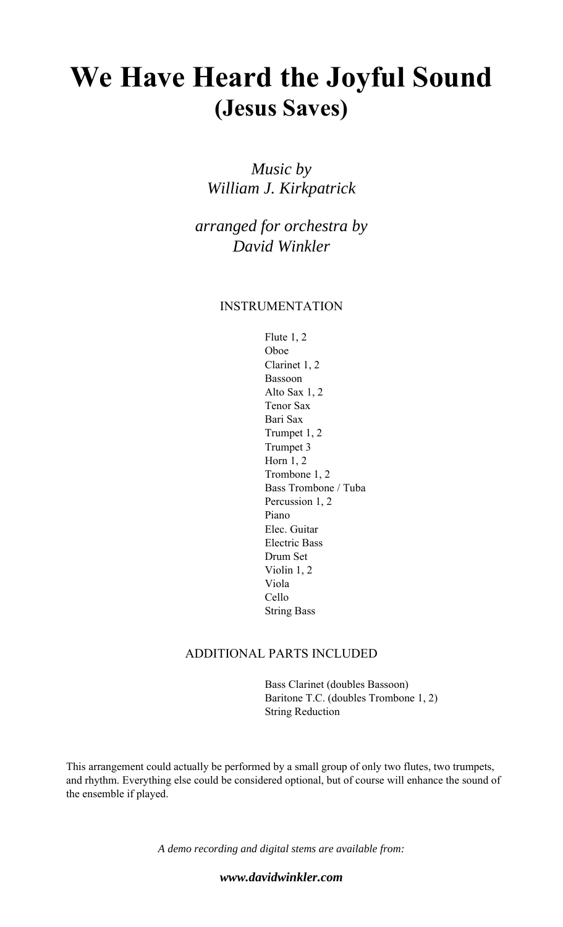## **We Have Heard the Joyful Sound (Jesus Saves)**

*Music by William J. Kirkpatrick* 

*arranged for orchestra by David Winkler* 

### INSTRUMENTATION

 Flute 1, 2 Oboe Clarinet 1, 2 Bassoon Alto Sax 1, 2 Tenor Sax Bari Sax Trumpet 1, 2 Trumpet 3 Horn 1, 2 Trombone 1, 2 Bass Trombone / Tuba Percussion 1, 2 Piano Elec. Guitar Electric Bass Drum Set Violin 1, 2 Viola Cello String Bass

#### ADDITIONAL PARTS INCLUDED

 Bass Clarinet (doubles Bassoon) Baritone T.C. (doubles Trombone 1, 2) String Reduction

This arrangement could actually be performed by a small group of only two flutes, two trumpets, and rhythm. Everything else could be considered optional, but of course will enhance the sound of the ensemble if played.

*A demo recording and digital stems are available from:* 

*www.davidwinkler.com*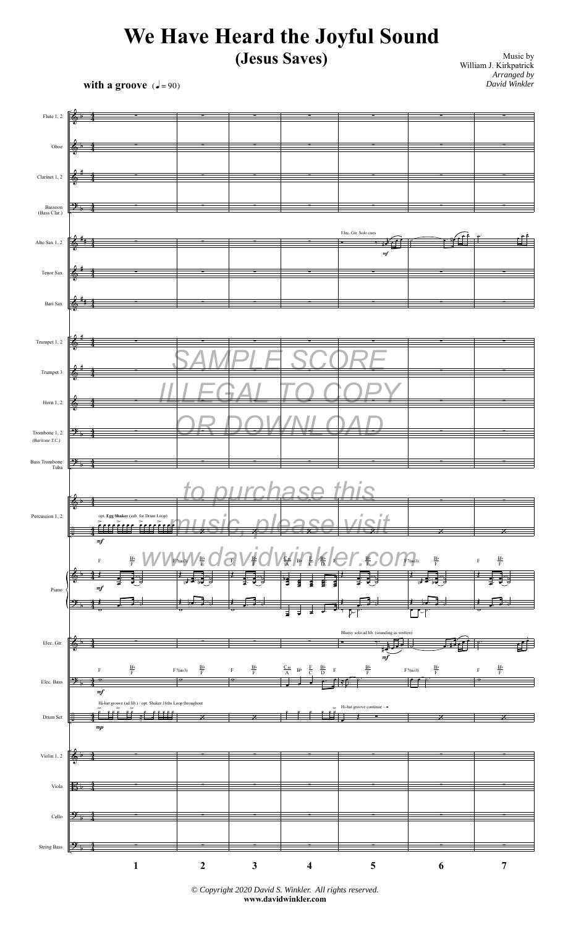# **We Have Heard the Joyful Sound**

### **(Jesus Saves)**

**with a groove**  $\left(\frac{1}{2} = 90\right)$ 

Music by William J. Kirkpatrick *Arranged by David Winkler*



*© Copyright 2020 David S. Winkler. All rights reserved.* **www.davidwinkler.com**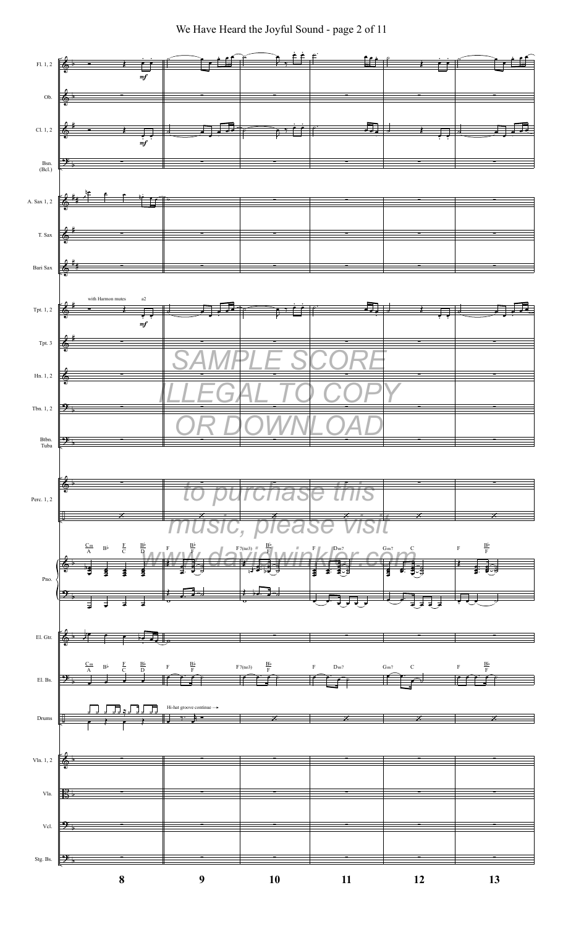We Have Heard the Joyful Sound - page 2 of 11

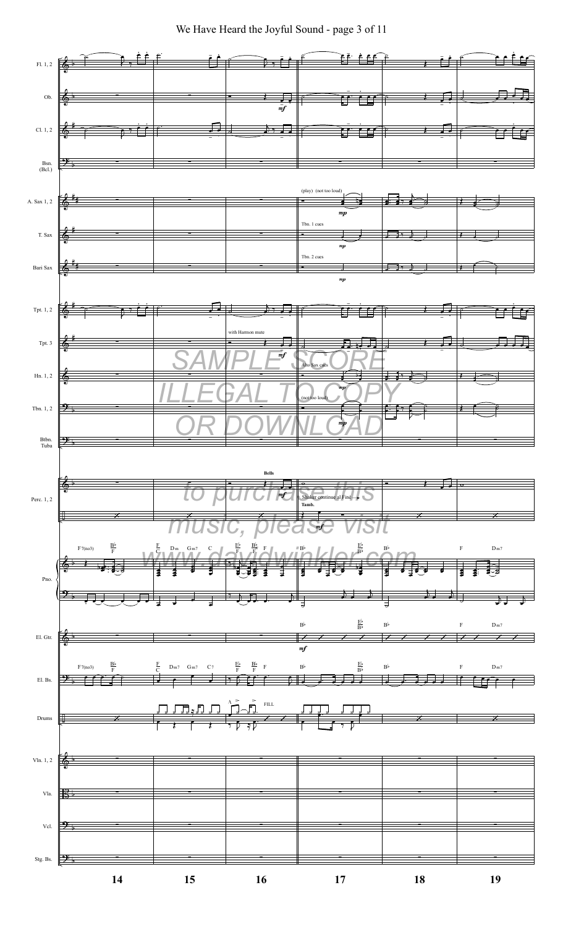

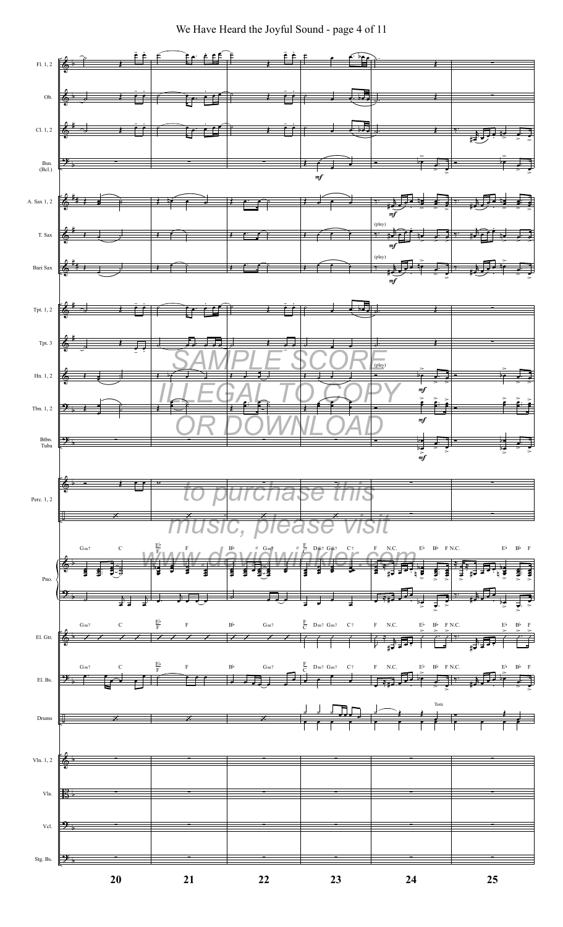We Have Heard the Joyful Sound - page 4 of 11

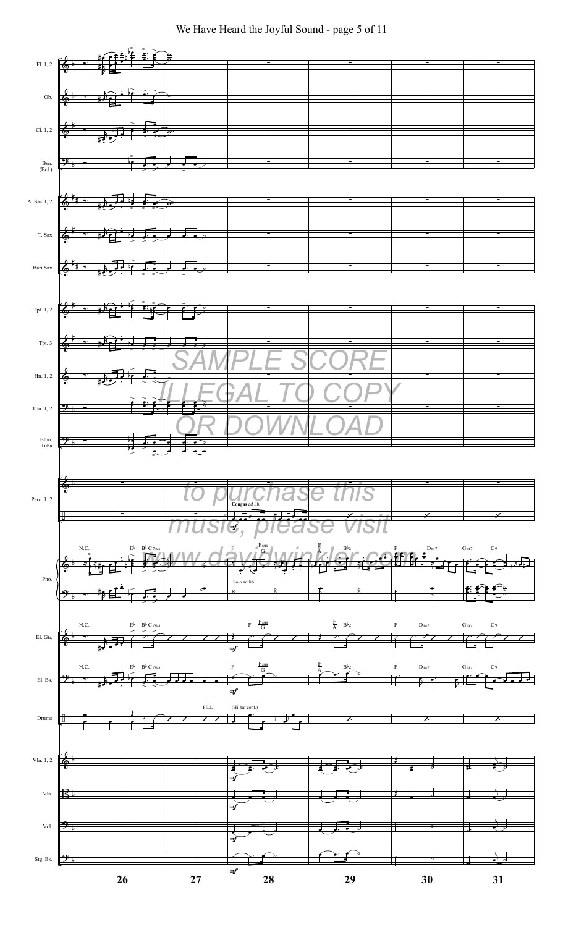### We Have Heard the Joyful Sound - page 5 of 11

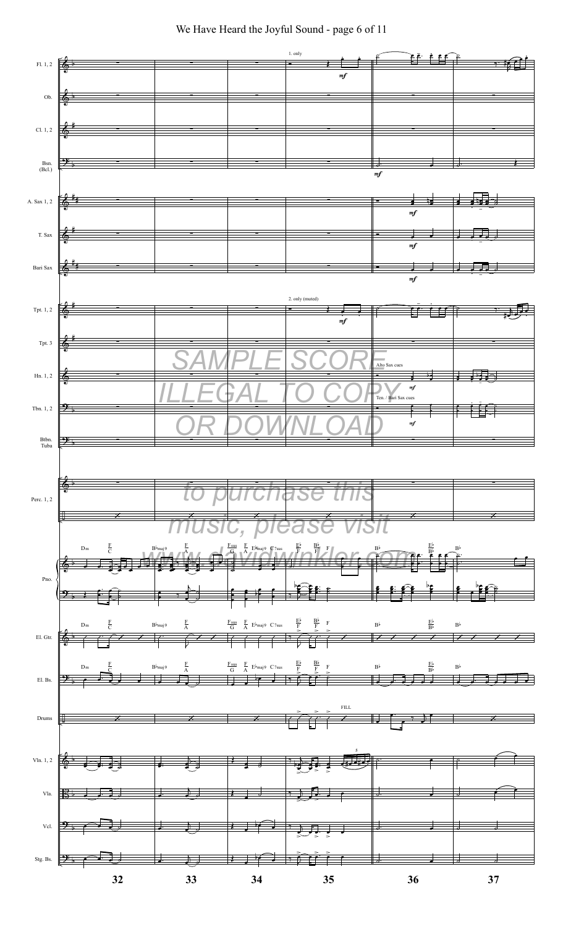

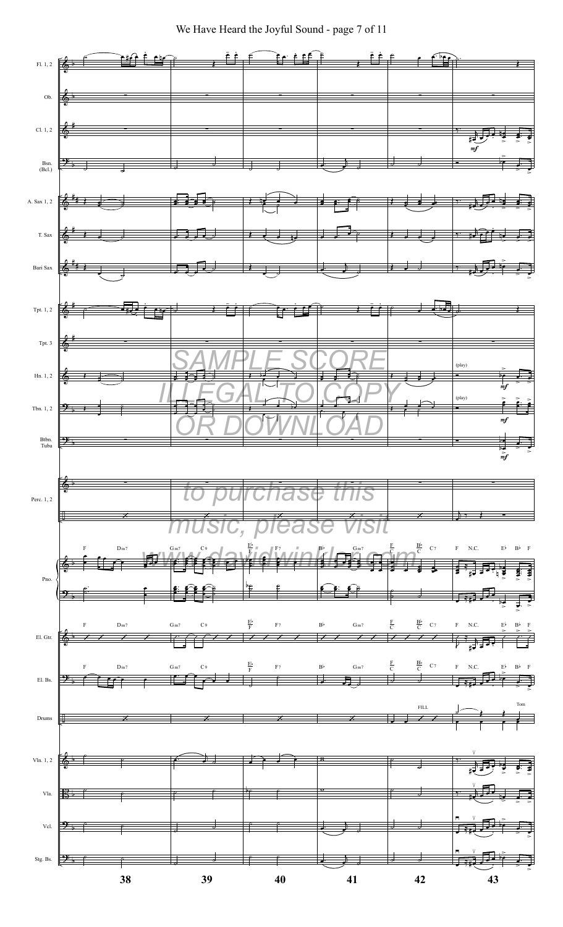We Have Heard the Joyful Sound - page 7 of 11

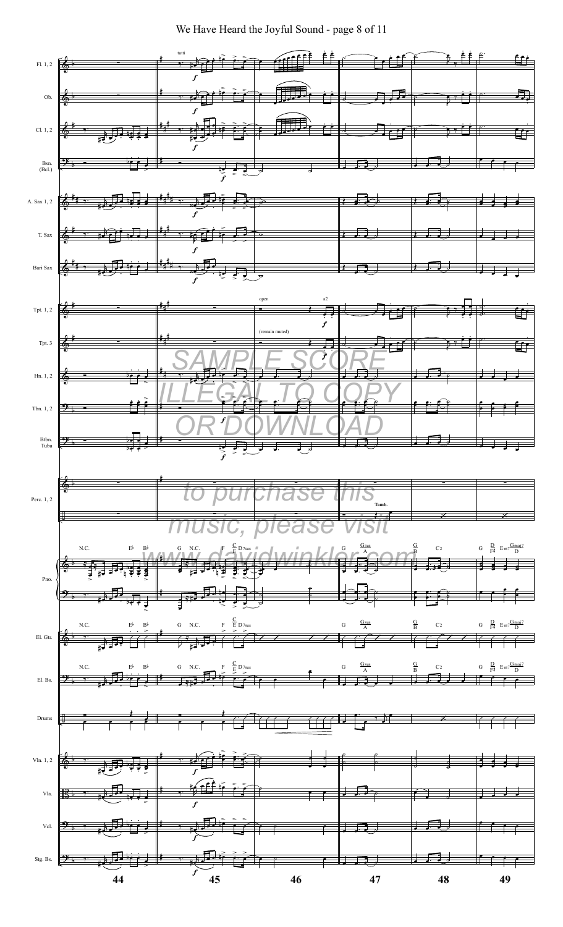We Have Heard the Joyful Sound - page 8 of 11

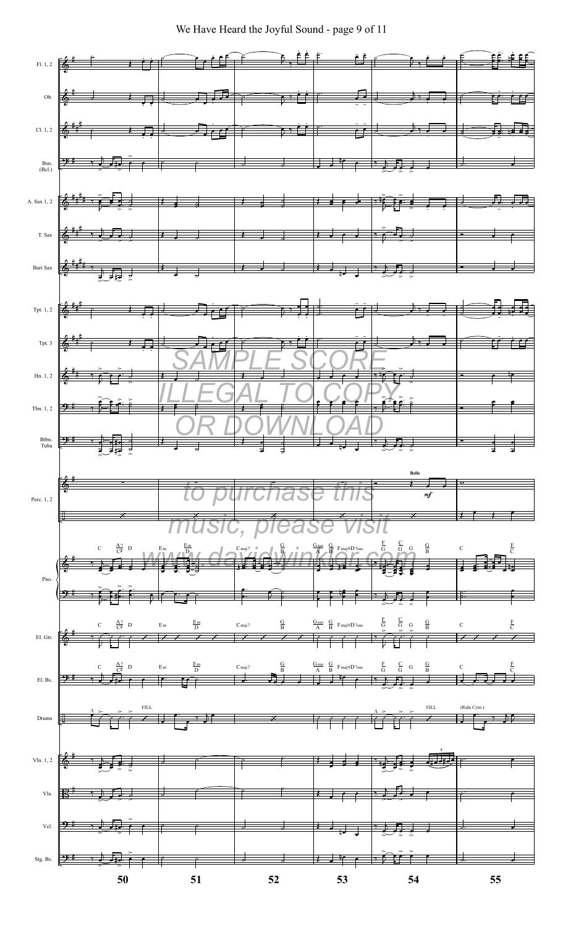We Have Heard the Joyful Sound - page 9 of 11

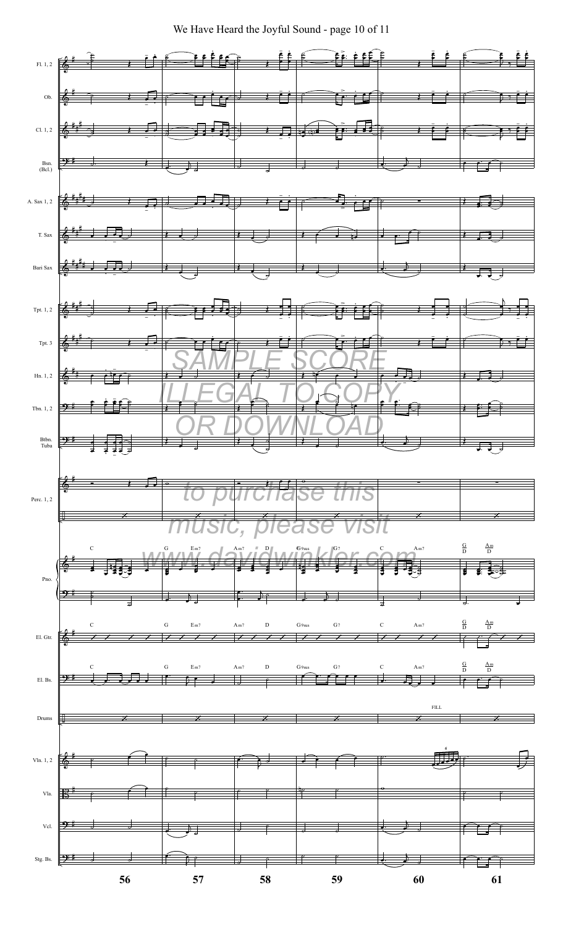We Have Heard the Joyful Sound - page 10 of 11